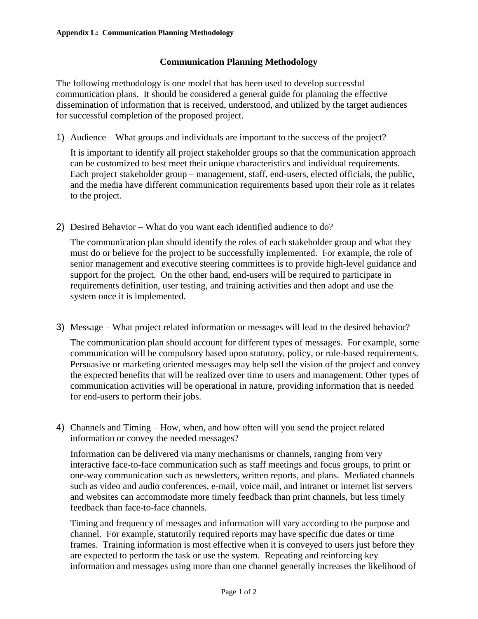## **Communication Planning Methodology**

The following methodology is one model that has been used to develop successful communication plans. It should be considered a general guide for planning the effective dissemination of information that is received, understood, and utilized by the target audiences for successful completion of the proposed project.

1) Audience – What groups and individuals are important to the success of the project?

It is important to identify all project stakeholder groups so that the communication approach can be customized to best meet their unique characteristics and individual requirements. Each project stakeholder group – management, staff, end-users, elected officials, the public, and the media have different communication requirements based upon their role as it relates to the project.

2) Desired Behavior – What do you want each identified audience to do?

The communication plan should identify the roles of each stakeholder group and what they must do or believe for the project to be successfully implemented. For example, the role of senior management and executive steering committees is to provide high-level guidance and support for the project. On the other hand, end-users will be required to participate in requirements definition, user testing, and training activities and then adopt and use the system once it is implemented.

3) Message – What project related information or messages will lead to the desired behavior?

The communication plan should account for different types of messages. For example, some communication will be compulsory based upon statutory, policy, or rule-based requirements. Persuasive or marketing oriented messages may help sell the vision of the project and convey the expected benefits that will be realized over time to users and management. Other types of communication activities will be operational in nature, providing information that is needed for end-users to perform their jobs.

4) Channels and Timing – How, when, and how often will you send the project related information or convey the needed messages?

Information can be delivered via many mechanisms or channels, ranging from very interactive face-to-face communication such as staff meetings and focus groups, to print or one-way communication such as newsletters, written reports, and plans. Mediated channels such as video and audio conferences, e-mail, voice mail, and intranet or internet list servers and websites can accommodate more timely feedback than print channels, but less timely feedback than face-to-face channels.

Timing and frequency of messages and information will vary according to the purpose and channel. For example, statutorily required reports may have specific due dates or time frames. Training information is most effective when it is conveyed to users just before they are expected to perform the task or use the system. Repeating and reinforcing key information and messages using more than one channel generally increases the likelihood of